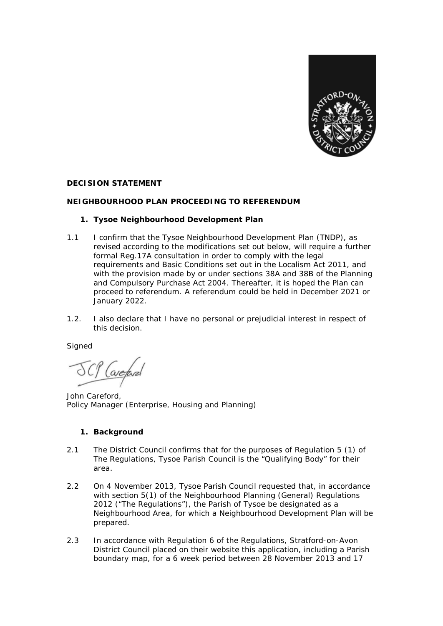

#### **DECISION STATEMENT**

## **NEIGHBOURHOOD PLAN PROCEEDING TO REFERENDUM**

## **1. Tysoe Neighbourhood Development Plan**

- 1.1 I confirm that the Tysoe Neighbourhood Development Plan (TNDP), as revised according to the modifications set out below, will require a further formal Reg.17A consultation in order to comply with the legal requirements and Basic Conditions set out in the Localism Act 2011, and with the provision made by or under sections 38A and 38B of the Planning and Compulsory Purchase Act 2004. Thereafter, it is hoped the Plan can proceed to referendum. A referendum could be held in December 2021 or January 2022.
- 1.2. I also declare that I have no personal or prejudicial interest in respect of this decision.

**Signed** 

avetan

John Careford, Policy Manager (Enterprise, Housing and Planning)

# **1. Background**

- 2.1 The District Council confirms that for the purposes of Regulation 5 (1) of The Regulations, Tysoe Parish Council is the "Qualifying Body" for their area.
- 2.2 On 4 November 2013, Tysoe Parish Council requested that, in accordance with section 5(1) of the Neighbourhood Planning (General) Regulations 2012 ("The Regulations"), the Parish of Tysoe be designated as a Neighbourhood Area, for which a Neighbourhood Development Plan will be prepared.
- 2.3 In accordance with Regulation 6 of the Regulations, Stratford-on-Avon District Council placed on their website this application, including a Parish boundary map, for a 6 week period between 28 November 2013 and 17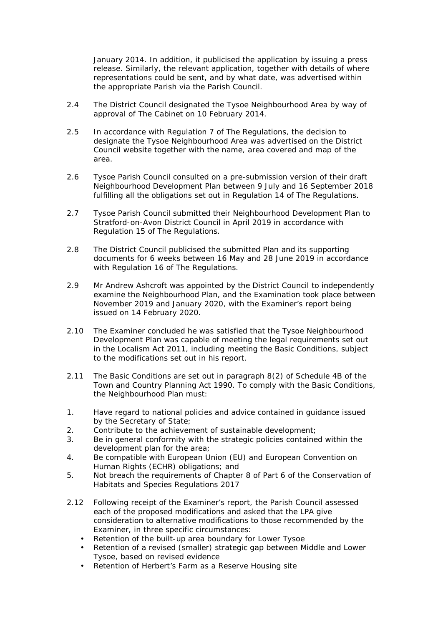January 2014. In addition, it publicised the application by issuing a press release. Similarly, the relevant application, together with details of where representations could be sent, and by what date, was advertised within the appropriate Parish via the Parish Council.

- 2.4 The District Council designated the Tysoe Neighbourhood Area by way of approval of The Cabinet on 10 February 2014.
- 2.5 In accordance with Regulation 7 of The Regulations, the decision to designate the Tysoe Neighbourhood Area was advertised on the District Council website together with the name, area covered and map of the area.
- 2.6 Tysoe Parish Council consulted on a pre-submission version of their draft Neighbourhood Development Plan between 9 July and 16 September 2018 fulfilling all the obligations set out in Regulation 14 of The Regulations.
- 2.7 Tysoe Parish Council submitted their Neighbourhood Development Plan to Stratford-on-Avon District Council in April 2019 in accordance with Regulation 15 of The Regulations.
- 2.8 The District Council publicised the submitted Plan and its supporting documents for 6 weeks between 16 May and 28 June 2019 in accordance with Regulation 16 of The Regulations.
- 2.9 Mr Andrew Ashcroft was appointed by the District Council to independently examine the Neighbourhood Plan, and the Examination took place between November 2019 and January 2020, with the Examiner's report being issued on 14 February 2020.
- 2.10 The Examiner concluded he was satisfied that the Tysoe Neighbourhood Development Plan was capable of meeting the legal requirements set out in the Localism Act 2011, including meeting the Basic Conditions, subject to the modifications set out in his report.
- 2.11 The Basic Conditions are set out in paragraph 8(2) of Schedule 4B of the Town and Country Planning Act 1990. To comply with the Basic Conditions, the Neighbourhood Plan must:
- 1. Have regard to national policies and advice contained in guidance issued by the Secretary of State;
- 2. Contribute to the achievement of sustainable development;
- 3. Be in general conformity with the strategic policies contained within the development plan for the area;
- 4. Be compatible with European Union (EU) and European Convention on Human Rights (ECHR) obligations; and
- 5. Not breach the requirements of Chapter 8 of Part 6 of the Conservation of Habitats and Species Regulations 2017
- 2.12 Following receipt of the Examiner's report, the Parish Council assessed each of the proposed modifications and asked that the LPA give consideration to alternative modifications to those recommended by the Examiner, in three specific circumstances:
	- Retention of the built-up area boundary for Lower Tysoe
	- Retention of a revised (smaller) strategic gap between Middle and Lower Tysoe, based on revised evidence
	- Retention of Herbert's Farm as a Reserve Housing site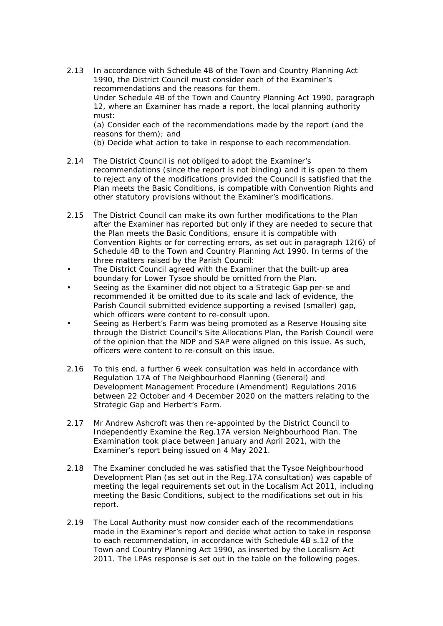2.13 In accordance with Schedule 4B of the Town and Country Planning Act 1990, the District Council must consider each of the Examiner's recommendations and the reasons for them. Under Schedule 4B of the Town and Country Planning Act 1990, paragraph 12, where an Examiner has made a report, the local planning authority must: (a) Consider each of the recommendations made by the report (and the reasons for them); and

(b) Decide what action to take in response to each recommendation.

- 2.14 The District Council is not obliged to adopt the Examiner's recommendations (since the report is not binding) and it is open to them to reject any of the modifications provided the Council is satisfied that the Plan meets the Basic Conditions, is compatible with Convention Rights and other statutory provisions without the Examiner's modifications.
- 2.15 The District Council can make its own further modifications to the Plan after the Examiner has reported but only if they are needed to secure that the Plan meets the Basic Conditions, ensure it is compatible with Convention Rights or for correcting errors, as set out in paragraph 12(6) of Schedule 4B to the Town and Country Planning Act 1990. In terms of the three matters raised by the Parish Council:
- The District Council agreed with the Examiner that the built-up area boundary for Lower Tysoe should be omitted from the Plan.
- Seeing as the Examiner did not object to a Strategic Gap per-se and recommended it be omitted due to its scale and lack of evidence, the Parish Council submitted evidence supporting a revised (smaller) gap, which officers were content to re-consult upon.
- Seeing as Herbert's Farm was being promoted as a Reserve Housing site through the District Council's Site Allocations Plan, the Parish Council were of the opinion that the NDP and SAP were aligned on this issue. As such, officers were content to re-consult on this issue.
- 2.16 To this end, a further 6 week consultation was held in accordance with Regulation 17A of The Neighbourhood Planning (General) and Development Management Procedure (Amendment) Regulations 2016 between 22 October and 4 December 2020 on the matters relating to the Strategic Gap and Herbert's Farm.
- 2.17 Mr Andrew Ashcroft was then re-appointed by the District Council to Independently Examine the Reg.17A version Neighbourhood Plan. The Examination took place between January and April 2021, with the Examiner's report being issued on 4 May 2021.
- 2.18 The Examiner concluded he was satisfied that the Tysoe Neighbourhood Development Plan (as set out in the Reg.17A consultation) was capable of meeting the legal requirements set out in the Localism Act 2011, including meeting the Basic Conditions, subject to the modifications set out in his report.
- 2.19 The Local Authority must now consider each of the recommendations made in the Examiner's report and decide what action to take in response to each recommendation, in accordance with Schedule 4B s.12 of the Town and Country Planning Act 1990, as inserted by the Localism Act 2011. The LPAs response is set out in the table on the following pages.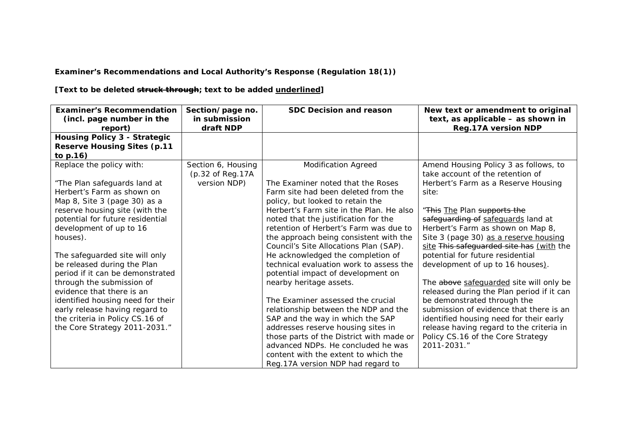**Examiner's Recommendations and Local Authority's Response (Regulation 18(1))**

**[Text to be deleted struck through; text to be added underlined]**

| <b>Examiner's Recommendation</b><br>(incl. page number in the<br>report)  | Section/page no.<br>in submission<br>draft NDP | <b>SDC Decision and reason</b>                                                | New text or amendment to original<br>text, as applicable - as shown in<br><b>Reg.17A version NDP</b> |
|---------------------------------------------------------------------------|------------------------------------------------|-------------------------------------------------------------------------------|------------------------------------------------------------------------------------------------------|
| <b>Housing Policy 3 - Strategic</b><br><b>Reserve Housing Sites (p.11</b> |                                                |                                                                               |                                                                                                      |
| to p.16)                                                                  |                                                |                                                                               |                                                                                                      |
| Replace the policy with:                                                  | Section 6, Housing<br>(p.32 of Reg.17A         | <b>Modification Agreed</b>                                                    | Amend Housing Policy 3 as follows, to<br>take account of the retention of                            |
| "The Plan safeguards land at                                              | version NDP)                                   | The Examiner noted that the Roses                                             | Herbert's Farm as a Reserve Housing                                                                  |
| Herbert's Farm as shown on<br>Map 8, Site 3 (page 30) as a                |                                                | Farm site had been deleted from the<br>policy, but looked to retain the       | site:                                                                                                |
| reserve housing site (with the                                            |                                                | Herbert's Farm site in the Plan. He also                                      | "This The Plan supports the                                                                          |
| potential for future residential                                          |                                                | noted that the justification for the                                          | safeguarding of safeguards land at                                                                   |
| development of up to 16                                                   |                                                | retention of Herbert's Farm was due to                                        | Herbert's Farm as shown on Map 8,                                                                    |
| houses).                                                                  |                                                | the approach being consistent with the                                        | Site 3 (page 30) as a reserve housing                                                                |
|                                                                           |                                                | Council's Site Allocations Plan (SAP).                                        | site This safeguarded site has (with the                                                             |
| The safeguarded site will only                                            |                                                | He acknowledged the completion of                                             | potential for future residential                                                                     |
| be released during the Plan<br>period if it can be demonstrated           |                                                | technical evaluation work to assess the<br>potential impact of development on | development of up to 16 houses).                                                                     |
| through the submission of<br>evidence that there is an                    |                                                | nearby heritage assets.                                                       | The above safeguarded site will only be<br>released during the Plan period if it can                 |
| identified housing need for their                                         |                                                | The Examiner assessed the crucial                                             | be demonstrated through the                                                                          |
| early release having regard to                                            |                                                | relationship between the NDP and the                                          | submission of evidence that there is an                                                              |
| the criteria in Policy CS.16 of                                           |                                                | SAP and the way in which the SAP                                              | identified housing need for their early                                                              |
| the Core Strategy 2011-2031."                                             |                                                | addresses reserve housing sites in                                            | release having regard to the criteria in                                                             |
|                                                                           |                                                | those parts of the District with made or                                      | Policy CS.16 of the Core Strategy                                                                    |
|                                                                           |                                                | advanced NDPs. He concluded he was                                            | 2011-2031."                                                                                          |
|                                                                           |                                                | content with the extent to which the                                          |                                                                                                      |
|                                                                           |                                                | Reg. 17A version NDP had regard to                                            |                                                                                                      |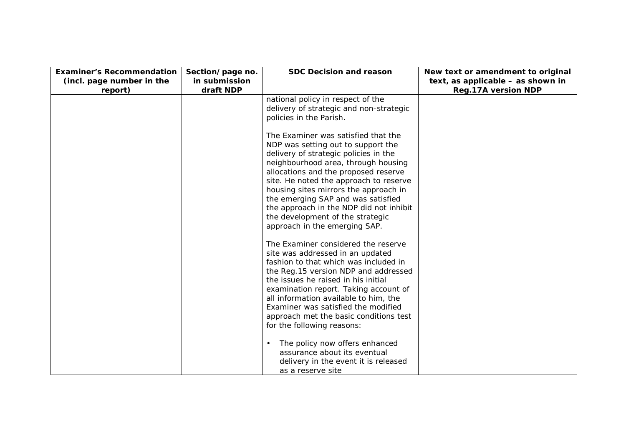| <b>Examiner's Recommendation</b>     | Section/page no.           | <b>SDC Decision and reason</b>                                                                                                                                                                                                                                                                                                                                                                                                     | New text or amendment to original                               |
|--------------------------------------|----------------------------|------------------------------------------------------------------------------------------------------------------------------------------------------------------------------------------------------------------------------------------------------------------------------------------------------------------------------------------------------------------------------------------------------------------------------------|-----------------------------------------------------------------|
| (incl. page number in the<br>report) | in submission<br>draft NDP |                                                                                                                                                                                                                                                                                                                                                                                                                                    | text, as applicable - as shown in<br><b>Reg.17A version NDP</b> |
|                                      |                            | national policy in respect of the<br>delivery of strategic and non-strategic<br>policies in the Parish.                                                                                                                                                                                                                                                                                                                            |                                                                 |
|                                      |                            | The Examiner was satisfied that the<br>NDP was setting out to support the<br>delivery of strategic policies in the<br>neighbourhood area, through housing<br>allocations and the proposed reserve<br>site. He noted the approach to reserve<br>housing sites mirrors the approach in<br>the emerging SAP and was satisfied<br>the approach in the NDP did not inhibit<br>the development of the strategic                          |                                                                 |
|                                      |                            | approach in the emerging SAP.<br>The Examiner considered the reserve<br>site was addressed in an updated<br>fashion to that which was included in<br>the Reg. 15 version NDP and addressed<br>the issues he raised in his initial<br>examination report. Taking account of<br>all information available to him, the<br>Examiner was satisfied the modified<br>approach met the basic conditions test<br>for the following reasons: |                                                                 |
|                                      |                            | The policy now offers enhanced<br>assurance about its eventual<br>delivery in the event it is released<br>as a reserve site                                                                                                                                                                                                                                                                                                        |                                                                 |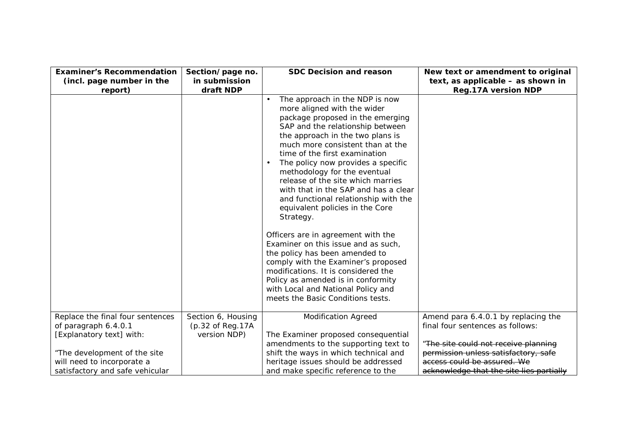| <b>Examiner's Recommendation</b>     | Section/page no.           | <b>SDC Decision and reason</b>        | New text or amendment to original                               |
|--------------------------------------|----------------------------|---------------------------------------|-----------------------------------------------------------------|
| (incl. page number in the<br>report) | in submission<br>draft NDP |                                       | text, as applicable - as shown in<br><b>Reg.17A version NDP</b> |
|                                      |                            | The approach in the NDP is now        |                                                                 |
|                                      |                            | more aligned with the wider           |                                                                 |
|                                      |                            | package proposed in the emerging      |                                                                 |
|                                      |                            | SAP and the relationship between      |                                                                 |
|                                      |                            | the approach in the two plans is      |                                                                 |
|                                      |                            | much more consistent than at the      |                                                                 |
|                                      |                            | time of the first examination         |                                                                 |
|                                      |                            | The policy now provides a specific    |                                                                 |
|                                      |                            | methodology for the eventual          |                                                                 |
|                                      |                            | release of the site which marries     |                                                                 |
|                                      |                            | with that in the SAP and has a clear  |                                                                 |
|                                      |                            | and functional relationship with the  |                                                                 |
|                                      |                            | equivalent policies in the Core       |                                                                 |
|                                      |                            | Strategy.                             |                                                                 |
|                                      |                            | Officers are in agreement with the    |                                                                 |
|                                      |                            | Examiner on this issue and as such,   |                                                                 |
|                                      |                            | the policy has been amended to        |                                                                 |
|                                      |                            | comply with the Examiner's proposed   |                                                                 |
|                                      |                            | modifications. It is considered the   |                                                                 |
|                                      |                            | Policy as amended is in conformity    |                                                                 |
|                                      |                            | with Local and National Policy and    |                                                                 |
|                                      |                            | meets the Basic Conditions tests.     |                                                                 |
| Replace the final four sentences     | Section 6, Housing         | <b>Modification Agreed</b>            | Amend para 6.4.0.1 by replacing the                             |
| of paragraph 6.4.0.1                 | (p.32 of Reg.17A)          |                                       | final four sentences as follows:                                |
| [Explanatory text] with:             | version NDP)               | The Examiner proposed consequential   |                                                                 |
|                                      |                            | amendments to the supporting text to  | "The site could not receive planning                            |
| "The development of the site         |                            | shift the ways in which technical and | permission unless satisfactory, safe                            |
| will need to incorporate a           |                            | heritage issues should be addressed   | access could be assured. We                                     |
| satisfactory and safe vehicular      |                            | and make specific reference to the    | acknowledge that the site lies partially                        |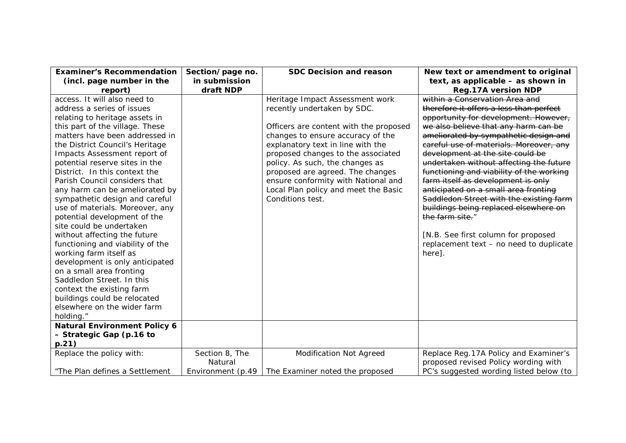| <b>Examiner's Recommendation</b>    | Section/page no.  | <b>SDC Decision and reason</b>         | New text or amendment to original        |
|-------------------------------------|-------------------|----------------------------------------|------------------------------------------|
| (incl. page number in the           | in submission     |                                        | text, as applicable - as shown in        |
| report)                             | draft NDP         |                                        | <b>Reg.17A version NDP</b>               |
| access. It will also need to        |                   | Heritage Impact Assessment work        | within a Conservation Area and           |
| address a series of issues          |                   | recently undertaken by SDC.            | therefore it offers a less than perfect  |
| relating to heritage assets in      |                   |                                        | opportunity for development. However,    |
| this part of the village. These     |                   | Officers are content with the proposed | we also believe that any harm can be     |
| matters have been addressed in      |                   | changes to ensure accuracy of the      | ameliorated by sympathetic design and    |
| the District Council's Heritage     |                   | explanatory text in line with the      | careful use of materials. Moreover, any  |
| Impacts Assessment report of        |                   | proposed changes to the associated     | development at the site could be         |
| potential reserve sites in the      |                   | policy. As such, the changes as        | undertaken without affecting the future  |
| District. In this context the       |                   | proposed are agreed. The changes       | functioning and viability of the working |
| Parish Council considers that       |                   | ensure conformity with National and    | farm itself as development is only       |
| any harm can be ameliorated by      |                   | Local Plan policy and meet the Basic   | anticipated on a small area fronting     |
| sympathetic design and careful      |                   | Conditions test.                       | Saddledon Street with the existing farm  |
| use of materials. Moreover, any     |                   |                                        | buildings being replaced elsewhere on    |
| potential development of the        |                   |                                        | the farm site."                          |
| site could be undertaken            |                   |                                        |                                          |
| without affecting the future        |                   |                                        | [N.B. See first column for proposed      |
| functioning and viability of the    |                   |                                        | replacement text - no need to duplicate  |
| working farm itself as              |                   |                                        | here].                                   |
| development is only anticipated     |                   |                                        |                                          |
| on a small area fronting            |                   |                                        |                                          |
| Saddledon Street. In this           |                   |                                        |                                          |
| context the existing farm           |                   |                                        |                                          |
| buildings could be relocated        |                   |                                        |                                          |
| elsewhere on the wider farm         |                   |                                        |                                          |
| holding."                           |                   |                                        |                                          |
| <b>Natural Environment Policy 6</b> |                   |                                        |                                          |
| - Strategic Gap (p.16 to            |                   |                                        |                                          |
| p.21)                               |                   |                                        |                                          |
| Replace the policy with:            | Section 8, The    | <b>Modification Not Agreed</b>         | Replace Reg. 17A Policy and Examiner's   |
|                                     | Natural           |                                        | proposed revised Policy wording with     |
| "The Plan defines a Settlement      | Environment (p.49 | The Examiner noted the proposed        | PC's suggested wording listed below (to  |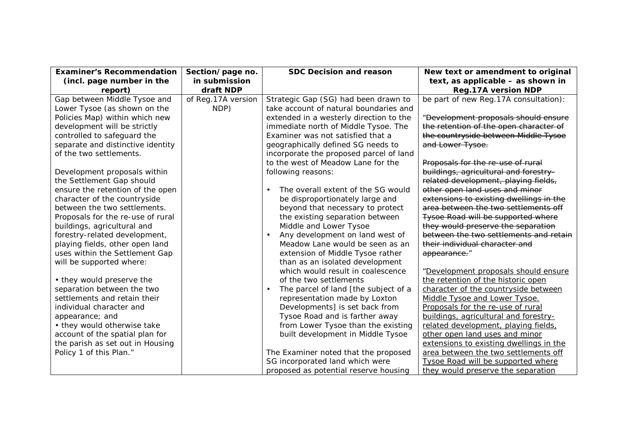| <b>Examiner's Recommendation</b>  | Section/page no.   | <b>SDC Decision and reason</b>          | New text or amendment to original       |
|-----------------------------------|--------------------|-----------------------------------------|-----------------------------------------|
| (incl. page number in the         | in submission      |                                         | text, as applicable - as shown in       |
| report)                           | draft NDP          |                                         | <b>Reg.17A version NDP</b>              |
| Gap between Middle Tysoe and      | of Reg.17A version | Strategic Gap (SG) had been drawn to    | be part of new Reg. 17A consultation):  |
| Lower Tysoe (as shown on the      | NDP)               | take account of natural boundaries and  |                                         |
| Policies Map) within which new    |                    | extended in a westerly direction to the | "Development proposals should ensure    |
| development will be strictly      |                    | immediate north of Middle Tysoe. The    | the retention of the open character of  |
| controlled to safeguard the       |                    | Examiner was not satisfied that a       | the countryside between Middle Tysoe    |
| separate and distinctive identity |                    | geographically defined SG needs to      | and Lower Tysoe.                        |
| of the two settlements.           |                    | incorporate the proposed parcel of land |                                         |
|                                   |                    | to the west of Meadow Lane for the      | Proposals for the re-use of rural       |
| Development proposals within      |                    | following reasons:                      | buildings, agricultural and forestry-   |
| the Settlement Gap should         |                    |                                         | related development, playing fields,    |
| ensure the retention of the open  |                    | The overall extent of the SG would      | other open land uses and minor          |
| character of the countryside      |                    | be disproportionately large and         | extensions to existing dwellings in the |
| between the two settlements.      |                    | beyond that necessary to protect        | area between the two settlements off    |
| Proposals for the re-use of rural |                    | the existing separation between         | Tysoe Road will be supported where      |
| buildings, agricultural and       |                    | Middle and Lower Tysoe                  | they would preserve the separation      |
| forestry-related development,     |                    | Any development on land west of         | between the two settlements and retain  |
| playing fields, other open land   |                    | Meadow Lane would be seen as an         | their individual character and          |
| uses within the Settlement Gap    |                    | extension of Middle Tysoe rather        | appearance."                            |
| will be supported where:          |                    | than as an isolated development         |                                         |
|                                   |                    | which would result in coalescence       | "Development proposals should ensure    |
| • they would preserve the         |                    | of the two settlements                  | the retention of the historic open      |
| separation between the two        |                    | The parcel of land [the subject of a    | character of the countryside between    |
| settlements and retain their      |                    | representation made by Loxton           | Middle Tysoe and Lower Tysoe.           |
| individual character and          |                    | Developments] is set back from          | Proposals for the re-use of rural       |
| appearance; and                   |                    | Tysoe Road and is farther away          | buildings, agricultural and forestry-   |
| • they would otherwise take       |                    | from Lower Tysoe than the existing      | related development, playing fields,    |
| account of the spatial plan for   |                    | built development in Middle Tysoe       | other open land uses and minor          |
| the parish as set out in Housing  |                    |                                         | extensions to existing dwellings in the |
| Policy 1 of this Plan."           |                    | The Examiner noted that the proposed    | area between the two settlements off    |
|                                   |                    | SG incorporated land which were         | Tysoe Road will be supported where      |
|                                   |                    | proposed as potential reserve housing   | they would preserve the separation      |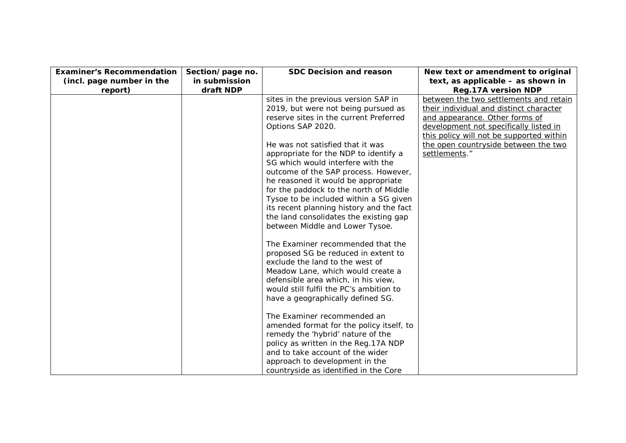| <b>Examiner's Recommendation</b> | Section/page no. | <b>SDC Decision and reason</b>           | New text or amendment to original        |
|----------------------------------|------------------|------------------------------------------|------------------------------------------|
| (incl. page number in the        | in submission    |                                          | text, as applicable - as shown in        |
| report)                          | draft NDP        |                                          | <b>Reg.17A version NDP</b>               |
|                                  |                  | sites in the previous version SAP in     | between the two settlements and retain   |
|                                  |                  | 2019, but were not being pursued as      | their individual and distinct character  |
|                                  |                  | reserve sites in the current Preferred   | and appearance. Other forms of           |
|                                  |                  | Options SAP 2020.                        | development not specifically listed in   |
|                                  |                  |                                          | this policy will not be supported within |
|                                  |                  | He was not satisfied that it was         | the open countryside between the two     |
|                                  |                  | appropriate for the NDP to identify a    | settlements."                            |
|                                  |                  | SG which would interfere with the        |                                          |
|                                  |                  | outcome of the SAP process. However,     |                                          |
|                                  |                  | he reasoned it would be appropriate      |                                          |
|                                  |                  | for the paddock to the north of Middle   |                                          |
|                                  |                  | Tysoe to be included within a SG given   |                                          |
|                                  |                  | its recent planning history and the fact |                                          |
|                                  |                  | the land consolidates the existing gap   |                                          |
|                                  |                  | between Middle and Lower Tysoe.          |                                          |
|                                  |                  | The Examiner recommended that the        |                                          |
|                                  |                  | proposed SG be reduced in extent to      |                                          |
|                                  |                  | exclude the land to the west of          |                                          |
|                                  |                  | Meadow Lane, which would create a        |                                          |
|                                  |                  | defensible area which, in his view,      |                                          |
|                                  |                  | would still fulfil the PC's ambition to  |                                          |
|                                  |                  | have a geographically defined SG.        |                                          |
|                                  |                  | The Examiner recommended an              |                                          |
|                                  |                  | amended format for the policy itself, to |                                          |
|                                  |                  | remedy the 'hybrid' nature of the        |                                          |
|                                  |                  | policy as written in the Reg. 17A NDP    |                                          |
|                                  |                  | and to take account of the wider         |                                          |
|                                  |                  | approach to development in the           |                                          |
|                                  |                  | countryside as identified in the Core    |                                          |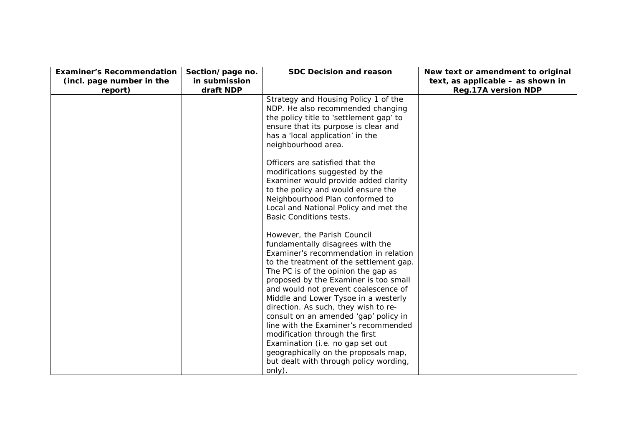| <b>Examiner's Recommendation</b> | Section/page no.           | <b>SDC Decision and reason</b>                                                 | New text or amendment to original                               |
|----------------------------------|----------------------------|--------------------------------------------------------------------------------|-----------------------------------------------------------------|
| (incl. page number in the        | in submission<br>draft NDP |                                                                                | text, as applicable - as shown in<br><b>Reg.17A version NDP</b> |
| report)                          |                            | Strategy and Housing Policy 1 of the                                           |                                                                 |
|                                  |                            | NDP. He also recommended changing                                              |                                                                 |
|                                  |                            | the policy title to 'settlement gap' to                                        |                                                                 |
|                                  |                            | ensure that its purpose is clear and                                           |                                                                 |
|                                  |                            | has a 'local application' in the                                               |                                                                 |
|                                  |                            | neighbourhood area.                                                            |                                                                 |
|                                  |                            | Officers are satisfied that the                                                |                                                                 |
|                                  |                            | modifications suggested by the                                                 |                                                                 |
|                                  |                            | Examiner would provide added clarity                                           |                                                                 |
|                                  |                            | to the policy and would ensure the                                             |                                                                 |
|                                  |                            | Neighbourhood Plan conformed to                                                |                                                                 |
|                                  |                            | Local and National Policy and met the<br><b>Basic Conditions tests.</b>        |                                                                 |
|                                  |                            |                                                                                |                                                                 |
|                                  |                            | However, the Parish Council                                                    |                                                                 |
|                                  |                            | fundamentally disagrees with the                                               |                                                                 |
|                                  |                            | Examiner's recommendation in relation                                          |                                                                 |
|                                  |                            | to the treatment of the settlement gap.<br>The PC is of the opinion the gap as |                                                                 |
|                                  |                            | proposed by the Examiner is too small                                          |                                                                 |
|                                  |                            | and would not prevent coalescence of                                           |                                                                 |
|                                  |                            | Middle and Lower Tysoe in a westerly                                           |                                                                 |
|                                  |                            | direction. As such, they wish to re-                                           |                                                                 |
|                                  |                            | consult on an amended 'gap' policy in                                          |                                                                 |
|                                  |                            | line with the Examiner's recommended                                           |                                                                 |
|                                  |                            | modification through the first<br>Examination (i.e. no gap set out             |                                                                 |
|                                  |                            | geographically on the proposals map,                                           |                                                                 |
|                                  |                            | but dealt with through policy wording,                                         |                                                                 |
|                                  |                            | only).                                                                         |                                                                 |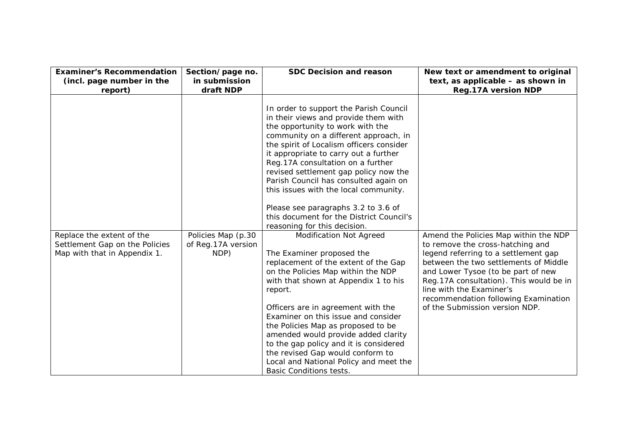| <b>Examiner's Recommendation</b>                                                            | Section/page no.                                 | <b>SDC Decision and reason</b>                                                                                                                                                                                                                                                                                                                                                                                                                                                                                                                                                                                                                                                                                                                                                                                                                                                                                                                                                                                                                          | New text or amendment to original                                                                                                                                                                                                                                                                                                                  |
|---------------------------------------------------------------------------------------------|--------------------------------------------------|---------------------------------------------------------------------------------------------------------------------------------------------------------------------------------------------------------------------------------------------------------------------------------------------------------------------------------------------------------------------------------------------------------------------------------------------------------------------------------------------------------------------------------------------------------------------------------------------------------------------------------------------------------------------------------------------------------------------------------------------------------------------------------------------------------------------------------------------------------------------------------------------------------------------------------------------------------------------------------------------------------------------------------------------------------|----------------------------------------------------------------------------------------------------------------------------------------------------------------------------------------------------------------------------------------------------------------------------------------------------------------------------------------------------|
| (incl. page number in the                                                                   | in submission                                    |                                                                                                                                                                                                                                                                                                                                                                                                                                                                                                                                                                                                                                                                                                                                                                                                                                                                                                                                                                                                                                                         | text, as applicable - as shown in                                                                                                                                                                                                                                                                                                                  |
| report)                                                                                     | draft NDP                                        |                                                                                                                                                                                                                                                                                                                                                                                                                                                                                                                                                                                                                                                                                                                                                                                                                                                                                                                                                                                                                                                         | <b>Reg.17A version NDP</b>                                                                                                                                                                                                                                                                                                                         |
| Replace the extent of the<br>Settlement Gap on the Policies<br>Map with that in Appendix 1. | Policies Map (p.30<br>of Reg.17A version<br>NDP) | In order to support the Parish Council<br>in their views and provide them with<br>the opportunity to work with the<br>community on a different approach, in<br>the spirit of Localism officers consider<br>it appropriate to carry out a further<br>Reg.17A consultation on a further<br>revised settlement gap policy now the<br>Parish Council has consulted again on<br>this issues with the local community.<br>Please see paragraphs 3.2 to 3.6 of<br>this document for the District Council's<br>reasoning for this decision.<br><b>Modification Not Agreed</b><br>The Examiner proposed the<br>replacement of the extent of the Gap<br>on the Policies Map within the NDP<br>with that shown at Appendix 1 to his<br>report.<br>Officers are in agreement with the<br>Examiner on this issue and consider<br>the Policies Map as proposed to be<br>amended would provide added clarity<br>to the gap policy and it is considered<br>the revised Gap would conform to<br>Local and National Policy and meet the<br><b>Basic Conditions tests.</b> | Amend the Policies Map within the NDP<br>to remove the cross-hatching and<br>legend referring to a settlement gap<br>between the two settlements of Middle<br>and Lower Tysoe (to be part of new<br>Reg. 17A consultation). This would be in<br>line with the Examiner's<br>recommendation following Examination<br>of the Submission version NDP. |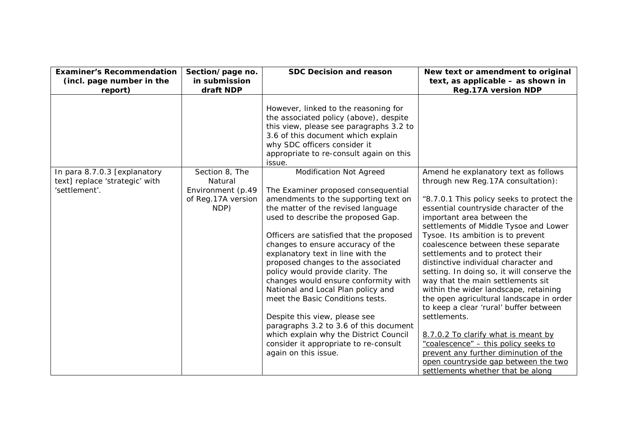| <b>Examiner's Recommendation</b><br>(incl. page number in the                   | Section/page no.<br>in submission                                            | <b>SDC Decision and reason</b>                                                                                                                                                                                                                                                                                                                                                                                                                                                                                                                                                                                                                                                                     | New text or amendment to original<br>text, as applicable - as shown in                                                                                                                                                                                                                                                                                                                                                                                                                                                                                                                                                                                                                                                                                                                                                                 |
|---------------------------------------------------------------------------------|------------------------------------------------------------------------------|----------------------------------------------------------------------------------------------------------------------------------------------------------------------------------------------------------------------------------------------------------------------------------------------------------------------------------------------------------------------------------------------------------------------------------------------------------------------------------------------------------------------------------------------------------------------------------------------------------------------------------------------------------------------------------------------------|----------------------------------------------------------------------------------------------------------------------------------------------------------------------------------------------------------------------------------------------------------------------------------------------------------------------------------------------------------------------------------------------------------------------------------------------------------------------------------------------------------------------------------------------------------------------------------------------------------------------------------------------------------------------------------------------------------------------------------------------------------------------------------------------------------------------------------------|
| report)                                                                         | draft NDP                                                                    |                                                                                                                                                                                                                                                                                                                                                                                                                                                                                                                                                                                                                                                                                                    | <b>Reg.17A version NDP</b>                                                                                                                                                                                                                                                                                                                                                                                                                                                                                                                                                                                                                                                                                                                                                                                                             |
|                                                                                 |                                                                              | However, linked to the reasoning for<br>the associated policy (above), despite<br>this view, please see paragraphs 3.2 to<br>3.6 of this document which explain<br>why SDC officers consider it<br>appropriate to re-consult again on this<br>issue.                                                                                                                                                                                                                                                                                                                                                                                                                                               |                                                                                                                                                                                                                                                                                                                                                                                                                                                                                                                                                                                                                                                                                                                                                                                                                                        |
| In para 8.7.0.3 [explanatory<br>text] replace 'strategic' with<br>'settlement'. | Section 8, The<br>Natural<br>Environment (p.49<br>of Reg.17A version<br>NDP) | <b>Modification Not Agreed</b><br>The Examiner proposed consequential<br>amendments to the supporting text on<br>the matter of the revised language<br>used to describe the proposed Gap.<br>Officers are satisfied that the proposed<br>changes to ensure accuracy of the<br>explanatory text in line with the<br>proposed changes to the associated<br>policy would provide clarity. The<br>changes would ensure conformity with<br>National and Local Plan policy and<br>meet the Basic Conditions tests.<br>Despite this view, please see<br>paragraphs 3.2 to 3.6 of this document<br>which explain why the District Council<br>consider it appropriate to re-consult<br>again on this issue. | Amend he explanatory text as follows<br>through new Reg.17A consultation):<br>"8.7.0.1 This policy seeks to protect the<br>essential countryside character of the<br>important area between the<br>settlements of Middle Tysoe and Lower<br>Tysoe. Its ambition is to prevent<br>coalescence between these separate<br>settlements and to protect their<br>distinctive individual character and<br>setting. In doing so, it will conserve the<br>way that the main settlements sit<br>within the wider landscape, retaining<br>the open agricultural landscape in order<br>to keep a clear 'rural' buffer between<br>settlements.<br>8.7.0.2 To clarify what is meant by<br>"coalescence" - this policy seeks to<br>prevent any further diminution of the<br>open countryside gap between the two<br>settlements whether that be along |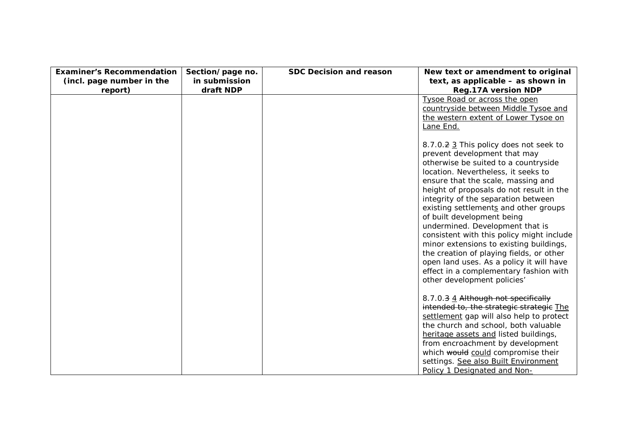| <b>Examiner's Recommendation</b> | Section/page no. | <b>SDC Decision and reason</b> | New text or amendment to original                                            |
|----------------------------------|------------------|--------------------------------|------------------------------------------------------------------------------|
| (incl. page number in the        | in submission    |                                | text, as applicable - as shown in                                            |
| report)                          | draft NDP        |                                | <b>Reg.17A version NDP</b>                                                   |
|                                  |                  |                                | Tysoe Road or across the open                                                |
|                                  |                  |                                | countryside between Middle Tysoe and                                         |
|                                  |                  |                                | the western extent of Lower Tysoe on                                         |
|                                  |                  |                                | Lane End.                                                                    |
|                                  |                  |                                |                                                                              |
|                                  |                  |                                | 8.7.0.2 3 This policy does not seek to                                       |
|                                  |                  |                                | prevent development that may                                                 |
|                                  |                  |                                | otherwise be suited to a countryside                                         |
|                                  |                  |                                | location. Nevertheless, it seeks to                                          |
|                                  |                  |                                | ensure that the scale, massing and                                           |
|                                  |                  |                                | height of proposals do not result in the                                     |
|                                  |                  |                                | integrity of the separation between<br>existing settlements and other groups |
|                                  |                  |                                | of built development being                                                   |
|                                  |                  |                                | undermined. Development that is                                              |
|                                  |                  |                                | consistent with this policy might include                                    |
|                                  |                  |                                | minor extensions to existing buildings,                                      |
|                                  |                  |                                | the creation of playing fields, or other                                     |
|                                  |                  |                                | open land uses. As a policy it will have                                     |
|                                  |                  |                                | effect in a complementary fashion with                                       |
|                                  |                  |                                | other development policies'                                                  |
|                                  |                  |                                |                                                                              |
|                                  |                  |                                | 8.7.0.3 4 Although not specifically                                          |
|                                  |                  |                                | intended to, the strategic strategic The                                     |
|                                  |                  |                                | settlement gap will also help to protect                                     |
|                                  |                  |                                | the church and school, both valuable                                         |
|                                  |                  |                                | heritage assets and listed buildings,                                        |
|                                  |                  |                                | from encroachment by development                                             |
|                                  |                  |                                | which would could compromise their                                           |
|                                  |                  |                                | settings. See also Built Environment                                         |
|                                  |                  |                                | Policy 1 Designated and Non-                                                 |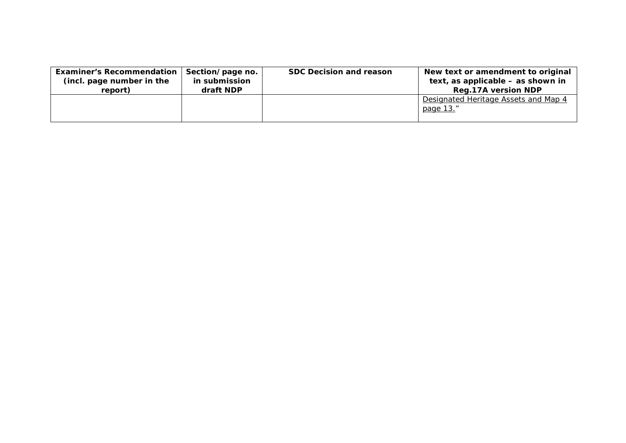| <b>Examiner's Recommendation</b> | Section/page no. | <b>SDC Decision and reason</b> | New text or amendment to original                 |
|----------------------------------|------------------|--------------------------------|---------------------------------------------------|
| (incl. page number in the        | in submission    |                                | text, as applicable – as shown in                 |
| report)                          | draft NDP        |                                | <b>Reg.17A version NDP</b>                        |
|                                  |                  |                                | Designated Heritage Assets and Map 4<br>page 13." |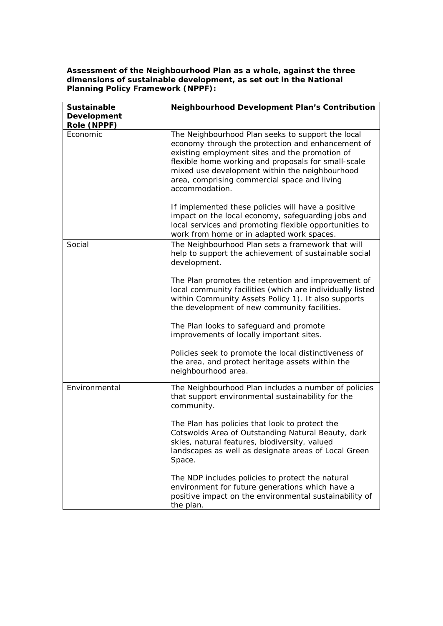**Assessment of the Neighbourhood Plan as a whole, against the three dimensions of sustainable development, as set out in the National Planning Policy Framework (NPPF):**

| Sustainable<br>Development | <b>Neighbourhood Development Plan's Contribution</b>                                                                                                                                                                                                                                                                                |
|----------------------------|-------------------------------------------------------------------------------------------------------------------------------------------------------------------------------------------------------------------------------------------------------------------------------------------------------------------------------------|
| Role (NPPF)                |                                                                                                                                                                                                                                                                                                                                     |
| Economic                   | The Neighbourhood Plan seeks to support the local<br>economy through the protection and enhancement of<br>existing employment sites and the promotion of<br>flexible home working and proposals for small-scale<br>mixed use development within the neighbourhood<br>area, comprising commercial space and living<br>accommodation. |
|                            | If implemented these policies will have a positive<br>impact on the local economy, safeguarding jobs and<br>local services and promoting flexible opportunities to<br>work from home or in adapted work spaces.                                                                                                                     |
| Social                     | The Neighbourhood Plan sets a framework that will<br>help to support the achievement of sustainable social<br>development.                                                                                                                                                                                                          |
|                            | The Plan promotes the retention and improvement of<br>local community facilities (which are individually listed<br>within Community Assets Policy 1). It also supports<br>the development of new community facilities.                                                                                                              |
|                            | The Plan looks to safeguard and promote<br>improvements of locally important sites.                                                                                                                                                                                                                                                 |
|                            | Policies seek to promote the local distinctiveness of<br>the area, and protect heritage assets within the<br>neighbourhood area.                                                                                                                                                                                                    |
| Environmental              | The Neighbourhood Plan includes a number of policies<br>that support environmental sustainability for the<br>community.                                                                                                                                                                                                             |
|                            | The Plan has policies that look to protect the<br>Cotswolds Area of Outstanding Natural Beauty, dark<br>skies, natural features, biodiversity, valued<br>landscapes as well as designate areas of Local Green<br>Space.                                                                                                             |
|                            | The NDP includes policies to protect the natural<br>environment for future generations which have a<br>positive impact on the environmental sustainability of<br>the plan.                                                                                                                                                          |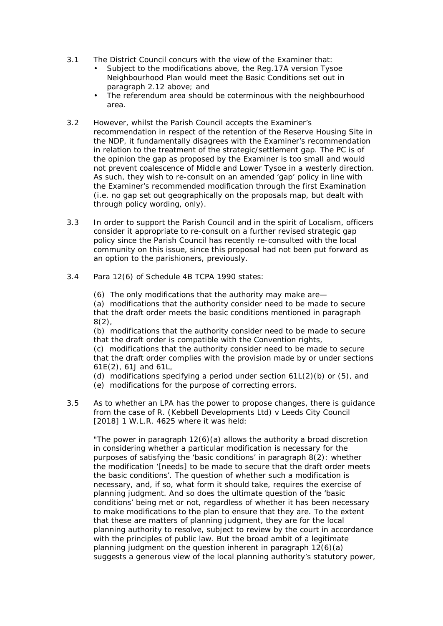- 3.1 The District Council concurs with the view of the Examiner that:
	- Subject to the modifications above, the Reg.17A version Tysoe Neighbourhood Plan would meet the Basic Conditions set out in paragraph 2.12 above; and
	- The referendum area should be coterminous with the neighbourhood area.
- 3.2 However, whilst the Parish Council accepts the Examiner's recommendation in respect of the retention of the Reserve Housing Site in the NDP, it fundamentally disagrees with the Examiner's recommendation in relation to the treatment of the strategic/settlement gap. The PC is of the opinion the gap as proposed by the Examiner is too small and would not prevent coalescence of Middle and Lower Tysoe in a westerly direction. As such, they wish to re-consult on an amended 'gap' policy in line with the Examiner's recommended modification through the first Examination (i.e. no gap set out geographically on the proposals map, but dealt with through policy wording, only).
- 3.3 In order to support the Parish Council and in the spirit of Localism, officers consider it appropriate to re-consult on a further revised strategic gap policy since the Parish Council has recently re-consulted with the local community on this issue, since this proposal had not been put forward as an option to the parishioners, previously.
- 3.4 Para 12(6) of Schedule 4B TCPA 1990 states:
	- (6) The only modifications that the authority may make are—

(a) modifications that the authority consider need to be made to secure that the draft order meets the basic conditions mentioned in paragraph  $8(2)$ .

(b) modifications that the authority consider need to be made to secure that the draft order is compatible with the Convention rights,

(c) modifications that the authority consider need to be made to secure that the draft order complies with the provision made by or under sections 61E(2), 61J and 61L,

- (d) modifications specifying a period under section  $61L(2)(b)$  or  $(5)$ , and
- (e) modifications for the purpose of correcting errors.
- 3.5 As to whether an LPA has the power to propose changes, there is guidance from the case of *R. (Kebbell Developments Ltd) v Leeds City Council* [2018] 1 W.L.R. 4625 where it was held:

*"The power in paragraph 12(6)(a) allows the authority a broad discretion in considering whether a particular modification is necessary for the purposes of satisfying the 'basic conditions' in paragraph 8(2): whether the modification '[needs] to be made to secure that the draft order meets the basic conditions'. The question of whether such a modification is necessary, and, if so, what form it should take, requires the exercise of planning judgment. And so does the ultimate question of the 'basic conditions' being met or not, regardless of whether it has been necessary to make modifications to the plan to ensure that they are. To the extent that these are matters of planning judgment, they are for the local planning authority to resolve, subject to review by the court in accordance with the principles of public law. But the broad ambit of a legitimate planning judgment on the question inherent in paragraph 12(6)(a) suggests a generous view of the local planning authority's statutory power,*